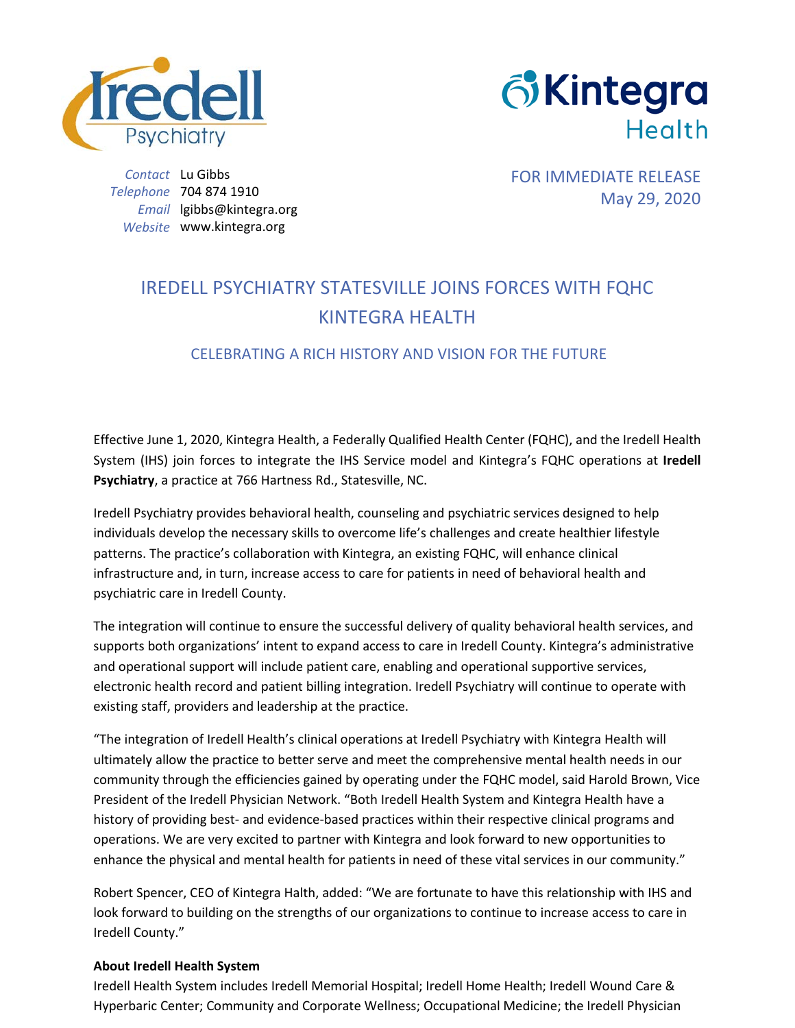



*Contact* Lu Gibbs *Telephone* 704 874 1910 *Email* lgibbs@kintegra.org *Website* www.kintegra.org

FOR IMMEDIATE RELEASE May 29, 2020

## IREDELL PSYCHIATRY STATESVILLE JOINS FORCES WITH FQHC KINTEGRA HEALTH

## CELEBRATING A RICH HISTORY AND VISION FOR THE FUTURE

Effective June 1, 2020, Kintegra Health, a Federally Qualified Health Center (FQHC), and the Iredell Health System (IHS) join forces to integrate the IHS Service model and Kintegra's FQHC operations at **Iredell Psychiatry**, a practice at 766 Hartness Rd., Statesville, NC.

Iredell Psychiatry provides behavioral health, counseling and psychiatric services designed to help individuals develop the necessary skills to overcome life's challenges and create healthier lifestyle patterns. The practice's collaboration with Kintegra, an existing FQHC, will enhance clinical infrastructure and, in turn, increase access to care for patients in need of behavioral health and psychiatric care in Iredell County.

The integration will continue to ensure the successful delivery of quality behavioral health services, and supports both organizations' intent to expand access to care in Iredell County. Kintegra's administrative and operational support will include patient care, enabling and operational supportive services, electronic health record and patient billing integration. Iredell Psychiatry will continue to operate with existing staff, providers and leadership at the practice.

"The integration of Iredell Health's clinical operations at Iredell Psychiatry with Kintegra Health will ultimately allow the practice to better serve and meet the comprehensive mental health needs in our community through the efficiencies gained by operating under the FQHC model, said Harold Brown, Vice President of the Iredell Physician Network. "Both Iredell Health System and Kintegra Health have a history of providing best- and evidence-based practices within their respective clinical programs and operations. We are very excited to partner with Kintegra and look forward to new opportunities to enhance the physical and mental health for patients in need of these vital services in our community."

Robert Spencer, CEO of Kintegra Halth, added: "We are fortunate to have this relationship with IHS and look forward to building on the strengths of our organizations to continue to increase access to care in Iredell County."

## **About Iredell Health System**

Iredell Health System includes Iredell Memorial Hospital; Iredell Home Health; Iredell Wound Care & Hyperbaric Center; Community and Corporate Wellness; Occupational Medicine; the Iredell Physician